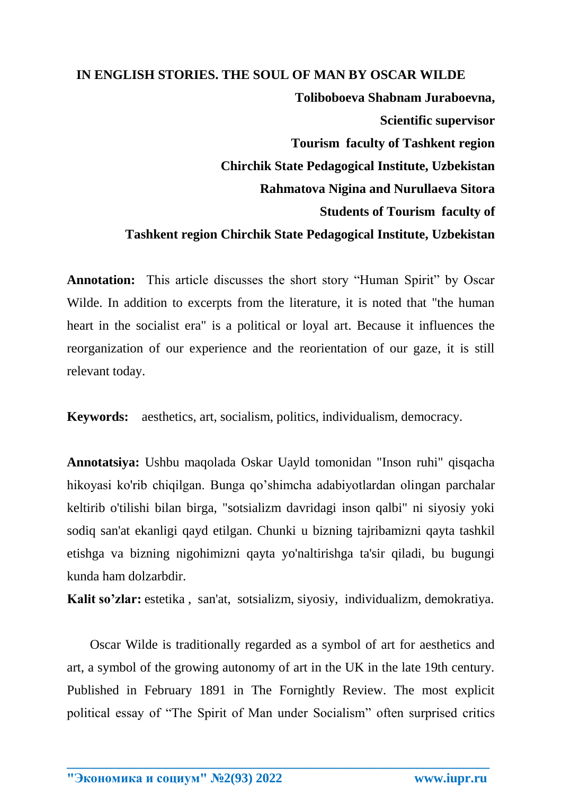## **IN ENGLISH STORIES. THE SOUL OF MAN BY OSCAR WILDE Toliboboeva Shabnam Juraboevna, Scientific supervisor Tourism faculty of Tashkent region Chirchik State Pedagogical Institute, Uzbekistan Rahmatova Nigina and Nurullaeva Sitora Students of Tourism faculty of Tashkent region Chirchik State Pedagogical Institute, Uzbekistan**

**Annotation:** This article discusses the short story "Human Spirit" by Oscar Wilde. In addition to excerpts from the literature, it is noted that "the human heart in the socialist era" is a political or loyal art. Because it influences the reorganization of our experience and the reorientation of our gaze, it is still relevant today.

**Keywords:** aesthetics, art, socialism, politics, individualism, democracy.

**Annotatsiya:** Ushbu maqolada Oskar Uayld tomonidan "Inson ruhi" qisqacha hikoyasi ko'rib chiqilgan. Bunga qo'shimcha adabiyotlardan olingan parchalar keltirib o'tilishi bilan birga, "sotsializm davridagi inson qalbi" ni siyosiy yoki sodiq san'at ekanligi qayd etilgan. Chunki u bizning tajribamizni qayta tashkil etishga va bizning nigohimizni qayta yo'naltirishga ta'sir qiladi, bu bugungi kunda ham dolzarbdir.

**Kalit so'zlar:** estetika , san'at, sotsializm, siyosiy, individualizm, demokratiya.

 Oscar Wilde is traditionally regarded as a symbol of art for aesthetics and art, a symbol of the growing autonomy of art in the UK in the late 19th century. Published in February 1891 in The Fornightly Review. The most explicit political essay of "The Spirit of Man under Socialism" often surprised critics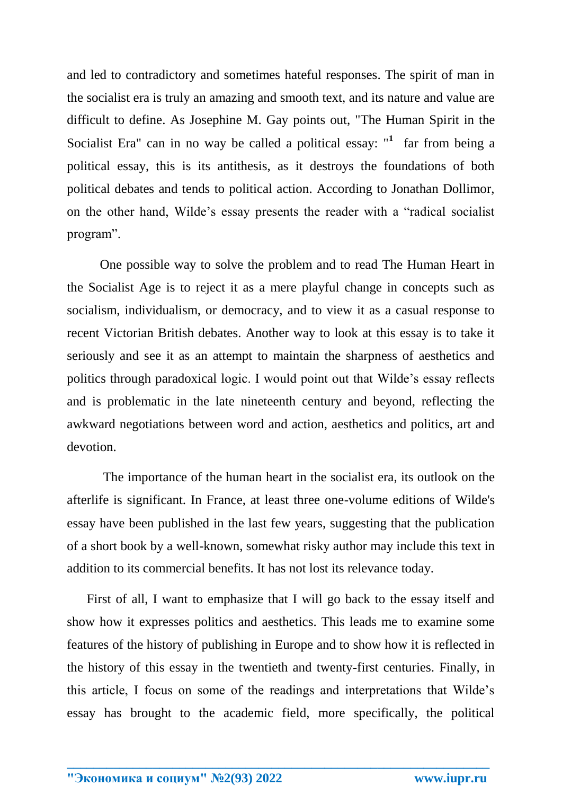and led to contradictory and sometimes hateful responses. The spirit of man in the socialist era is truly an amazing and smooth text, and its nature and value are difficult to define. As Josephine M. Gay points out, "The Human Spirit in the Socialist Era" can in no way be called a political essay: "<sup>1</sup> far from being a political essay, this is its antithesis, as it destroys the foundations of both political debates and tends to political action. According to Jonathan Dollimor, on the other hand, Wilde's essay presents the reader with a "radical socialist program".

 One possible way to solve the problem and to read The Human Heart in the Socialist Age is to reject it as a mere playful change in concepts such as socialism, individualism, or democracy, and to view it as a casual response to recent Victorian British debates. Another way to look at this essay is to take it seriously and see it as an attempt to maintain the sharpness of aesthetics and politics through paradoxical logic. I would point out that Wilde's essay reflects and is problematic in the late nineteenth century and beyond, reflecting the awkward negotiations between word and action, aesthetics and politics, art and devotion.

 The importance of the human heart in the socialist era, its outlook on the afterlife is significant. In France, at least three one-volume editions of Wilde's essay have been published in the last few years, suggesting that the publication of a short book by a well-known, somewhat risky author may include this text in addition to its commercial benefits. It has not lost its relevance today.

 First of all, I want to emphasize that I will go back to the essay itself and show how it expresses politics and aesthetics. This leads me to examine some features of the history of publishing in Europe and to show how it is reflected in the history of this essay in the twentieth and twenty-first centuries. Finally, in this article, I focus on some of the readings and interpretations that Wilde's essay has brought to the academic field, more specifically, the political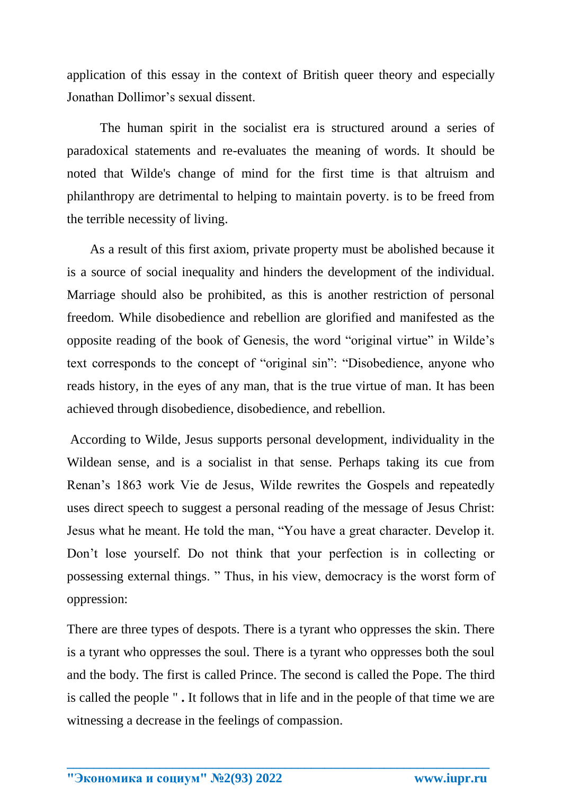application of this essay in the context of British queer theory and especially Jonathan Dollimor's sexual dissent.

 The human spirit in the socialist era is structured around a series of paradoxical statements and re-evaluates the meaning of words. It should be noted that Wilde's change of mind for the first time is that altruism and philanthropy are detrimental to helping to maintain poverty. is to be freed from the terrible necessity of living.

As a result of this first axiom, private property must be abolished because it is a source of social inequality and hinders the development of the individual. Marriage should also be prohibited, as this is another restriction of personal freedom. While disobedience and rebellion are glorified and manifested as the opposite reading of the book of Genesis, the word "original virtue" in Wilde's text corresponds to the concept of "original sin": "Disobedience, anyone who reads history, in the eyes of any man, that is the true virtue of man. It has been achieved through disobedience, disobedience, and rebellion.

According to Wilde, Jesus supports personal development, individuality in the Wildean sense, and is a socialist in that sense. Perhaps taking its cue from Renan's 1863 work Vie de Jesus, Wilde rewrites the Gospels and repeatedly uses direct speech to suggest a personal reading of the message of Jesus Christ: Jesus what he meant. He told the man, "You have a great character. Develop it. Don't lose yourself. Do not think that your perfection is in collecting or possessing external things. " Thus, in his view, democracy is the worst form of oppression:

There are three types of despots. There is a tyrant who oppresses the skin. There is a tyrant who oppresses the soul. There is a tyrant who oppresses both the soul and the body. The first is called Prince. The second is called the Pope. The third is called the people " **.** It follows that in life and in the people of that time we are witnessing a decrease in the feelings of compassion.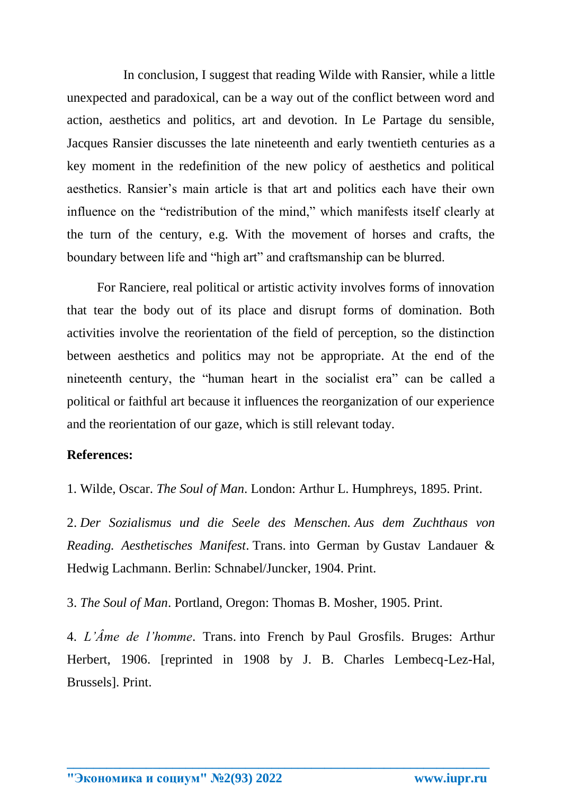In conclusion, I suggest that reading Wilde with Ransier, while a little unexpected and paradoxical, can be a way out of the conflict between word and action, aesthetics and politics, art and devotion. In Le Partage du sensible, Jacques Ransier discusses the late nineteenth and early twentieth centuries as a key moment in the redefinition of the new policy of aesthetics and political aesthetics. Ransier's main article is that art and politics each have their own influence on the "redistribution of the mind," which manifests itself clearly at the turn of the century, e.g. With the movement of horses and crafts, the boundary between life and "high art" and craftsmanship can be blurred.

For Ranciere, real political or artistic activity involves forms of innovation that tear the body out of its place and disrupt forms of domination. Both activities involve the reorientation of the field of perception, so the distinction between aesthetics and politics may not be appropriate. At the end of the nineteenth century, the "human heart in the socialist era" can be called a political or faithful art because it influences the reorganization of our experience and the reorientation of our gaze, which is still relevant today.

## **References:**

1. Wilde, Oscar. *The Soul of Man*. London: Arthur L. Humphreys, 1895. Print.

2. *Der Sozialismus und die Seele des Menschen. Aus dem Zuchthaus von Reading. Aesthetisches Manifest*. Trans. into German by Gustav Landauer & Hedwig Lachmann. Berlin: Schnabel/Juncker, 1904. Print.

3. *The Soul of Man*. Portland, Oregon: Thomas B. Mosher, 1905. Print.

4. *L'Âme de l'homme*. Trans. into French by Paul Grosfils. Bruges: Arthur Herbert, 1906. [reprinted in 1908 by J. B. Charles Lembecq-Lez-Hal, Brussels]. Print.